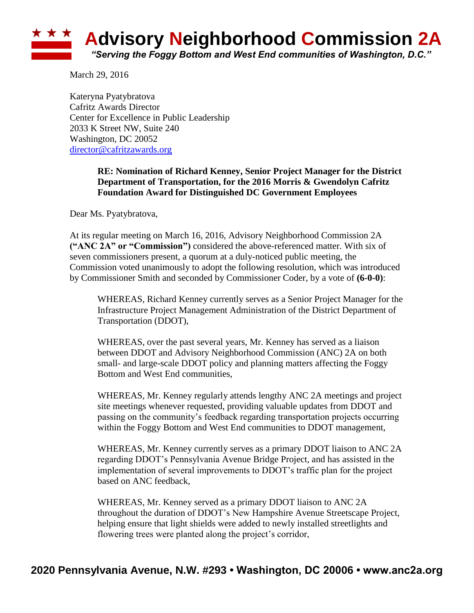

March 29, 2016

Kateryna Pyatybratova Cafritz Awards Director Center for Excellence in Public Leadership 2033 K Street NW, Suite 240 Washington, DC 20052 [director@cafritzawards.org](mailto:director@cafritzawards.org)

## **RE: Nomination of Richard Kenney, Senior Project Manager for the District Department of Transportation, for the 2016 Morris & Gwendolyn Cafritz Foundation Award for Distinguished DC Government Employees**

Dear Ms. Pyatybratova,

At its regular meeting on March 16, 2016, Advisory Neighborhood Commission 2A **("ANC 2A" or "Commission")** considered the above-referenced matter. With six of seven commissioners present, a quorum at a duly-noticed public meeting, the Commission voted unanimously to adopt the following resolution, which was introduced by Commissioner Smith and seconded by Commissioner Coder, by a vote of **(6-0-0)**:

WHEREAS, Richard Kenney currently serves as a Senior Project Manager for the Infrastructure Project Management Administration of the District Department of Transportation (DDOT),

WHEREAS, over the past several years, Mr. Kenney has served as a liaison between DDOT and Advisory Neighborhood Commission (ANC) 2A on both small- and large-scale DDOT policy and planning matters affecting the Foggy Bottom and West End communities,

WHEREAS, Mr. Kenney regularly attends lengthy ANC 2A meetings and project site meetings whenever requested, providing valuable updates from DDOT and passing on the community's feedback regarding transportation projects occurring within the Foggy Bottom and West End communities to DDOT management,

WHEREAS, Mr. Kenney currently serves as a primary DDOT liaison to ANC 2A regarding DDOT's Pennsylvania Avenue Bridge Project, and has assisted in the implementation of several improvements to DDOT's traffic plan for the project based on ANC feedback,

WHEREAS, Mr. Kenney served as a primary DDOT liaison to ANC 2A throughout the duration of DDOT's New Hampshire Avenue Streetscape Project, helping ensure that light shields were added to newly installed streetlights and flowering trees were planted along the project's corridor,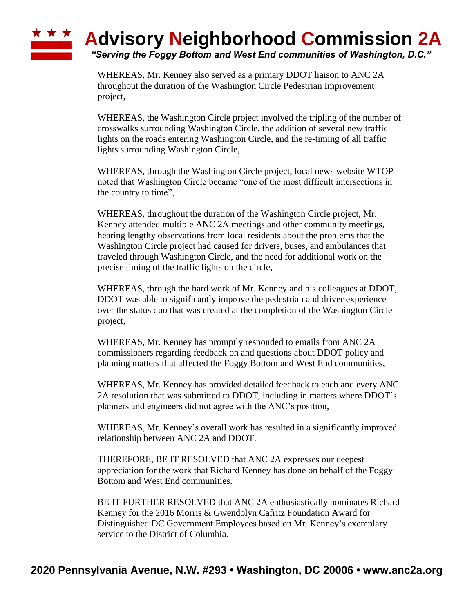## ★ ★ ★ **Advisory Neighborhood Commission 2A**

*"Serving the Foggy Bottom and West End communities of Washington, D.C."*

WHEREAS, Mr. Kenney also served as a primary DDOT liaison to ANC 2A throughout the duration of the Washington Circle Pedestrian Improvement project,

WHEREAS, the Washington Circle project involved the tripling of the number of crosswalks surrounding Washington Circle, the addition of several new traffic lights on the roads entering Washington Circle, and the re-timing of all traffic lights surrounding Washington Circle,

WHEREAS, through the Washington Circle project, local news website WTOP noted that Washington Circle became "one of the most difficult intersections in the country to time",

WHEREAS, throughout the duration of the Washington Circle project, Mr. Kenney attended multiple ANC 2A meetings and other community meetings, hearing lengthy observations from local residents about the problems that the Washington Circle project had caused for drivers, buses, and ambulances that traveled through Washington Circle, and the need for additional work on the precise timing of the traffic lights on the circle,

WHEREAS, through the hard work of Mr. Kenney and his colleagues at DDOT, DDOT was able to significantly improve the pedestrian and driver experience over the status quo that was created at the completion of the Washington Circle project,

WHEREAS, Mr. Kenney has promptly responded to emails from ANC 2A commissioners regarding feedback on and questions about DDOT policy and planning matters that affected the Foggy Bottom and West End communities,

WHEREAS, Mr. Kenney has provided detailed feedback to each and every ANC 2A resolution that was submitted to DDOT, including in matters where DDOT's planners and engineers did not agree with the ANC's position,

WHEREAS, Mr. Kenney's overall work has resulted in a significantly improved relationship between ANC 2A and DDOT.

THEREFORE, BE IT RESOLVED that ANC 2A expresses our deepest appreciation for the work that Richard Kenney has done on behalf of the Foggy Bottom and West End communities.

BE IT FURTHER RESOLVED that ANC 2A enthusiastically nominates Richard Kenney for the 2016 Morris & Gwendolyn Cafritz Foundation Award for Distinguished DC Government Employees based on Mr. Kenney's exemplary service to the District of Columbia.